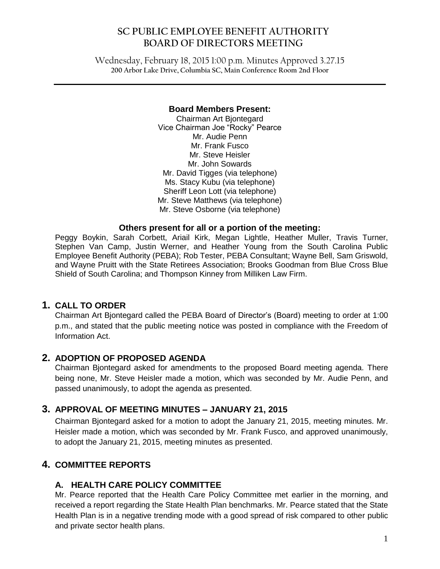# **SC PUBLIC EMPLOYEE BENEFIT AUTHORITY BOARD OF DIRECTORS MEETING**

Wednesday, February 18, 2015 1:00 p.m. Minutes Approved 3.27.15 **200 Arbor Lake Drive, Columbia SC, Main Conference Room 2nd Floor**

 $\mathcal{L}_\mathcal{L} = \mathcal{L}_\mathcal{L} = \mathcal{L}_\mathcal{L} = \mathcal{L}_\mathcal{L} = \mathcal{L}_\mathcal{L} = \mathcal{L}_\mathcal{L} = \mathcal{L}_\mathcal{L} = \mathcal{L}_\mathcal{L} = \mathcal{L}_\mathcal{L} = \mathcal{L}_\mathcal{L} = \mathcal{L}_\mathcal{L} = \mathcal{L}_\mathcal{L} = \mathcal{L}_\mathcal{L} = \mathcal{L}_\mathcal{L} = \mathcal{L}_\mathcal{L} = \mathcal{L}_\mathcal{L} = \mathcal{L}_\mathcal{L}$ 

#### **Board Members Present:**

Chairman Art Bjontegard Vice Chairman Joe "Rocky" Pearce Mr. Audie Penn Mr. Frank Fusco Mr. Steve Heisler Mr. John Sowards Mr. David Tigges (via telephone) Ms. Stacy Kubu (via telephone) Sheriff Leon Lott (via telephone) Mr. Steve Matthews (via telephone) Mr. Steve Osborne (via telephone)

#### **Others present for all or a portion of the meeting:**

Peggy Boykin, Sarah Corbett, Ariail Kirk, Megan Lightle, Heather Muller, Travis Turner, Stephen Van Camp, Justin Werner, and Heather Young from the South Carolina Public Employee Benefit Authority (PEBA); Rob Tester, PEBA Consultant; Wayne Bell, Sam Griswold, and Wayne Pruitt with the State Retirees Association; Brooks Goodman from Blue Cross Blue Shield of South Carolina; and Thompson Kinney from Milliken Law Firm.

## **1. CALL TO ORDER**

Chairman Art Bjontegard called the PEBA Board of Director's (Board) meeting to order at 1:00 p.m., and stated that the public meeting notice was posted in compliance with the Freedom of Information Act.

### **2. ADOPTION OF PROPOSED AGENDA**

Chairman Bjontegard asked for amendments to the proposed Board meeting agenda. There being none, Mr. Steve Heisler made a motion, which was seconded by Mr. Audie Penn, and passed unanimously, to adopt the agenda as presented.

### **3. APPROVAL OF MEETING MINUTES – JANUARY 21, 2015**

Chairman Bjontegard asked for a motion to adopt the January 21, 2015, meeting minutes. Mr. Heisler made a motion, which was seconded by Mr. Frank Fusco, and approved unanimously, to adopt the January 21, 2015, meeting minutes as presented.

## **4. COMMITTEE REPORTS**

### **A. HEALTH CARE POLICY COMMITTEE**

Mr. Pearce reported that the Health Care Policy Committee met earlier in the morning, and received a report regarding the State Health Plan benchmarks. Mr. Pearce stated that the State Health Plan is in a negative trending mode with a good spread of risk compared to other public and private sector health plans.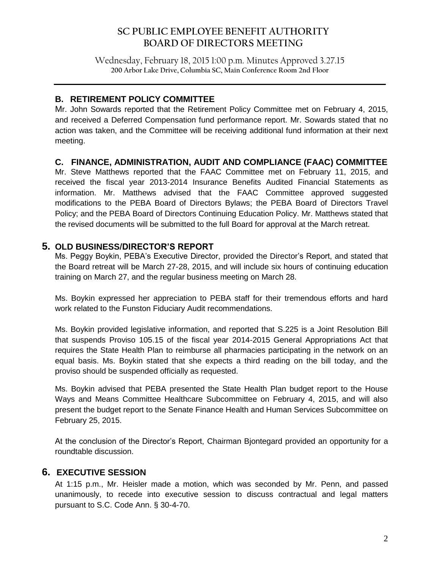# **SC PUBLIC EMPLOYEE BENEFIT AUTHORITY BOARD OF DIRECTORS MEETING**

Wednesday, February 18, 2015 1:00 p.m. Minutes Approved 3.27.15 **200 Arbor Lake Drive, Columbia SC, Main Conference Room 2nd Floor**

 $\mathcal{L}_\mathcal{L} = \mathcal{L}_\mathcal{L} = \mathcal{L}_\mathcal{L} = \mathcal{L}_\mathcal{L} = \mathcal{L}_\mathcal{L} = \mathcal{L}_\mathcal{L} = \mathcal{L}_\mathcal{L} = \mathcal{L}_\mathcal{L} = \mathcal{L}_\mathcal{L} = \mathcal{L}_\mathcal{L} = \mathcal{L}_\mathcal{L} = \mathcal{L}_\mathcal{L} = \mathcal{L}_\mathcal{L} = \mathcal{L}_\mathcal{L} = \mathcal{L}_\mathcal{L} = \mathcal{L}_\mathcal{L} = \mathcal{L}_\mathcal{L}$ 

## **B. RETIREMENT POLICY COMMITTEE**

Mr. John Sowards reported that the Retirement Policy Committee met on February 4, 2015, and received a Deferred Compensation fund performance report. Mr. Sowards stated that no action was taken, and the Committee will be receiving additional fund information at their next meeting.

## **C. FINANCE, ADMINISTRATION, AUDIT AND COMPLIANCE (FAAC) COMMITTEE**

Mr. Steve Matthews reported that the FAAC Committee met on February 11, 2015, and received the fiscal year 2013-2014 Insurance Benefits Audited Financial Statements as information. Mr. Matthews advised that the FAAC Committee approved suggested modifications to the PEBA Board of Directors Bylaws; the PEBA Board of Directors Travel Policy; and the PEBA Board of Directors Continuing Education Policy. Mr. Matthews stated that the revised documents will be submitted to the full Board for approval at the March retreat.

### **5. OLD BUSINESS/DIRECTOR'S REPORT**

Ms. Peggy Boykin, PEBA's Executive Director, provided the Director's Report, and stated that the Board retreat will be March 27-28, 2015, and will include six hours of continuing education training on March 27, and the regular business meeting on March 28.

Ms. Boykin expressed her appreciation to PEBA staff for their tremendous efforts and hard work related to the Funston Fiduciary Audit recommendations.

Ms. Boykin provided legislative information, and reported that S.225 is a Joint Resolution Bill that suspends Proviso 105.15 of the fiscal year 2014-2015 General Appropriations Act that requires the State Health Plan to reimburse all pharmacies participating in the network on an equal basis. Ms. Boykin stated that she expects a third reading on the bill today, and the proviso should be suspended officially as requested.

Ms. Boykin advised that PEBA presented the State Health Plan budget report to the House Ways and Means Committee Healthcare Subcommittee on February 4, 2015, and will also present the budget report to the Senate Finance Health and Human Services Subcommittee on February 25, 2015.

At the conclusion of the Director's Report, Chairman Bjontegard provided an opportunity for a roundtable discussion.

### **6. EXECUTIVE SESSION**

At 1:15 p.m., Mr. Heisler made a motion, which was seconded by Mr. Penn, and passed unanimously, to recede into executive session to discuss contractual and legal matters pursuant to S.C. Code Ann. § 30-4-70.